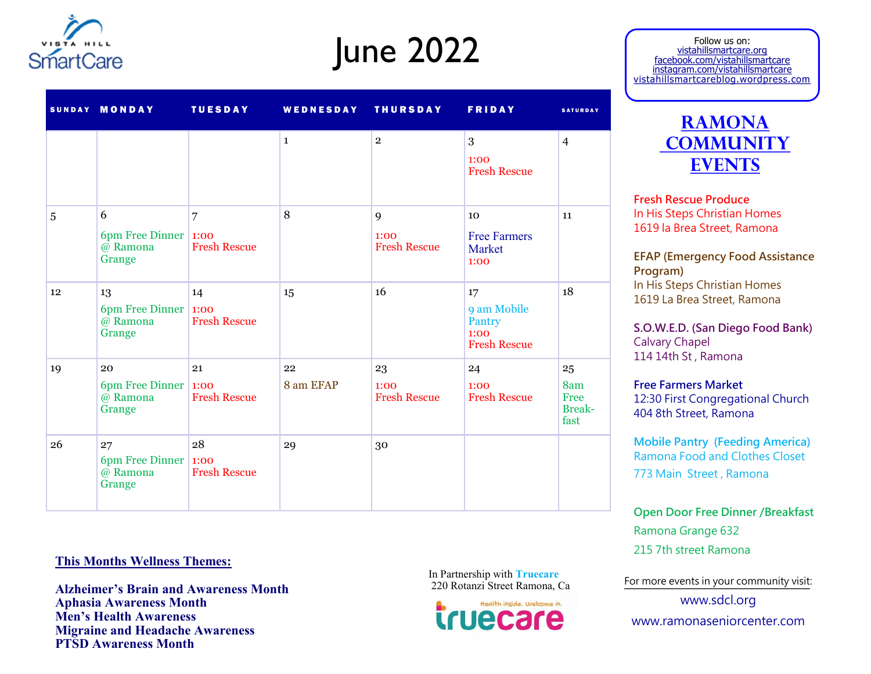

## June 2022

|    | SUNDAY MONDAY                                          | <b>TUESDAY</b>                        | WEDNESDAY THURSDAY |                                   | <b>FRIDAY</b>                                              | <b>SATURDAY</b>                            |
|----|--------------------------------------------------------|---------------------------------------|--------------------|-----------------------------------|------------------------------------------------------------|--------------------------------------------|
|    |                                                        |                                       | $\mathbf{1}$       | $\overline{2}$                    | 3<br>1:00<br><b>Fresh Rescue</b>                           | $\overline{4}$                             |
| 5  | 6<br>6pm Free Dinner   $1:00$<br>@ Ramona<br>Grange    | $\overline{7}$<br><b>Fresh Rescue</b> | 8                  | 9<br>1:00<br><b>Fresh Rescue</b>  | 10<br><b>Free Farmers</b><br>Market<br>1:00                | 11                                         |
| 12 | 13<br>6pm Free Dinner   $1:00$<br>$@$ Ramona<br>Grange | 14<br><b>Fresh Rescue</b>             | 15                 | 16                                | 17<br>9 am Mobile<br>Pantry<br>1:00<br><b>Fresh Rescue</b> | 18                                         |
| 19 | 20<br>6pm Free Dinner 1:00<br>@ Ramona<br>Grange       | 21<br><b>Fresh Rescue</b>             | 22<br>8 am EFAP    | 23<br>1:00<br><b>Fresh Rescue</b> | 24<br>1:00<br><b>Fresh Rescue</b>                          | 25<br>8am<br>Free<br><b>Break-</b><br>fast |
| 26 | 27<br>6pm Free Dinner   $1:00$<br>@ Ramona<br>Grange   | 28<br><b>Fresh Rescue</b>             | 29                 | 30                                |                                                            |                                            |

## **This Months Wellness Themes:**

**Alzheimer's Brain and Awareness Month Aphasia Awareness Month Men's Health Awareness Migraine and Headache Awareness PTSD Awareness Month**

In Partnership with **Truecare**



Follow us on: vistahillsmartcare.org facebook.com/vistahillsmartcare instagram.com/vistahillsmartcare vistahillsmartcareblog.wordpress.com



**Fresh Rescue Produce** In His Steps Christian Homes 1619 la Brea Street, Ramona

**EFAP (Emergency Food Assistance Program)** In His Steps Christian Homes 1619 La Brea Street, Ramona

**S.O.W.E.D. (San Diego Food Bank)** Calvary Chapel 114 14th St , Ramona

**Free Farmers Market** 12:30 First Congregational Church 404 8th Street, Ramona

**Mobile Pantry (Feeding America)** Ramona Food and Clothes Closet 773 Main Street , Ramona

**Open Door Free Dinner /Breakfast** Ramona Grange 632 215 7th street Ramona

220 Rotanzi Street Ramona, Ca For more events in your community visit:

www.sdcl.org www.ramonaseniorcenter.com